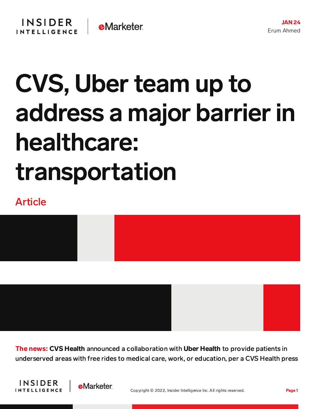## CVS, Uberteam up to address a major barrier in healthcare: transportation

## Article



The news: CVS Health announced a collaboration with Uber Health to provide patients in underserved areas with free rides to medical care, work, or education, per a CVS Health press



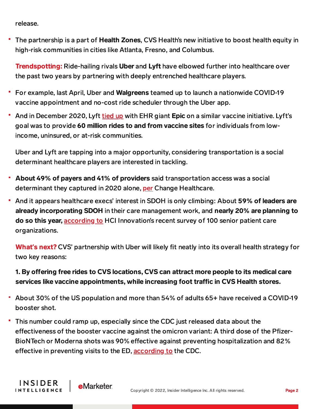release.

The partnership is a part of Health Zones, CVS Health's new initiative to boost health equity in high-risk communities in cities like Atlanta, Fresno, and Columbus.

**Trendspotting:** Ride-hailing rivals Uber and Lyft have elbowed further into healthcare over the past two years by partnering with deeply entrenched healthcare players.

- For example, last April, Uber and **Walgreens** teamed up to launch a nationwide COVID-19 vaccine appointment and no-cost ride scheduler through the Uber app.
- And in December 2020, Lyft [tied](https://content-na1.emarketer.com/anthem-epic-lyft-s-partnership-aims-expand-coronavirus-vaccine-access) up with EHR giant Epic on a similar vaccine initiative. Lyft's goal was to provide 60 million rides to and from vaccine sites for individuals from lowincome, uninsured, or at-risk communities.

Uber and Lyft are tapping into a major opportunity, considering transportation is a social determinant healthcare players are interested in tackling.

- About 49% of payers and 41% of providers said transportation access was a social determinant they captured in 2020 alone, [per](https://content-na1.emarketer.com/the-social-determinants-of-health) Change Healthcare.
- And it appears healthcare execs' interest in SDOH is only climbing: About 59% of leaders are already incorporating SDOH in their care management work, and nearly 20% are planning to do so this year, [according](https://www.hcinnovationgroup.com/policy-value-based-care/article/21250235/doors-to-the-future-our-2022-state-of-the-industry-survey) to HCI Innovation's recent survey of 100 senior patient care organizations.

What**'**s next? CVS' partnership with Uber will likely fit neatly into its overall health strategy for two key reasons:

## 1. By offering free rides to CVS locations, CVS can attract more people to its medical care services like vaccine appointments, while increasing foot traffic in CVS Health stores.

- About 30% of the US population and more than 54% of adults 65+ have received a COVID-19 booster shot.
- This number could ramp up, especially since the CDC just released data about the effectiveness of the booster vaccine against the omicron variant: A third dose of the Pfizer-BioNTech or Moderna shots was 90% effective against preventing hospitalization and 82% effective in preventing visits to the ED, [according](https://www.cdc.gov/mmwr/volumes/71/wr/mm7104e3.htm?s_cid=mm7104e3_w) to the CDC.

**INSIDER** 

**INTELLIGENCE**